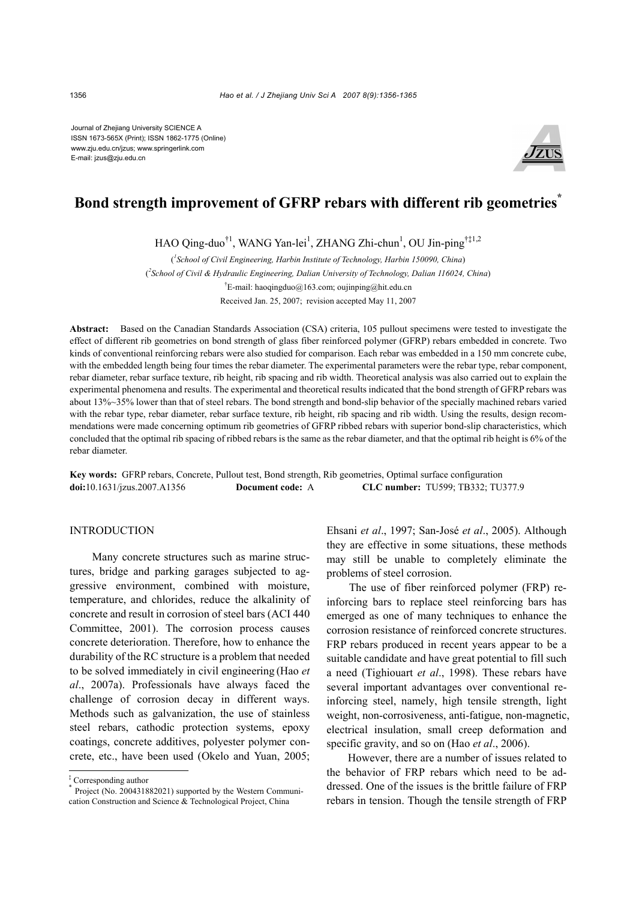Journal of Zhejiang University SCIENCE A ISSN 1673-565X (Print); ISSN 1862-1775 (Online) www.zju.edu.cn/jzus; www.springerlink.com E-mail: jzus@zju.edu.cn



# **Bond strength improvement of GFRP rebars with different rib geometries\***

HAO Qing-duo<sup>†1</sup>, WANG Yan-lei<sup>1</sup>, ZHANG Zhi-chun<sup>1</sup>, OU Jin-ping<sup>†‡1,2</sup>

( *1 School of Civil Engineering, Harbin Institute of Technology, Harbin 150090, China*) ( *2 School of Civil & Hydraulic Engineering, Dalian University of Technology, Dalian 116024, China*) † E-mail: haoqingduo@163.com; oujinping@hit.edu.cn Received Jan. 25, 2007; revision accepted May 11, 2007

**Abstract:** Based on the Canadian Standards Association (CSA) criteria, 105 pullout specimens were tested to investigate the effect of different rib geometries on bond strength of glass fiber reinforced polymer (GFRP) rebars embedded in concrete. Two kinds of conventional reinforcing rebars were also studied for comparison. Each rebar was embedded in a 150 mm concrete cube, with the embedded length being four times the rebar diameter. The experimental parameters were the rebar type, rebar component, rebar diameter, rebar surface texture, rib height, rib spacing and rib width. Theoretical analysis was also carried out to explain the experimental phenomena and results. The experimental and theoretical results indicated that the bond strength of GFRP rebars was about 13%~35% lower than that of steel rebars. The bond strength and bond-slip behavior of the specially machined rebars varied with the rebar type, rebar diameter, rebar surface texture, rib height, rib spacing and rib width. Using the results, design recommendations were made concerning optimum rib geometries of GFRP ribbed rebars with superior bond-slip characteristics, which concluded that the optimal rib spacing of ribbed rebars is the same as the rebar diameter, and that the optimal rib height is 6% of the rebar diameter.

**Key words:** GFRP rebars, Concrete, Pullout test, Bond strength, Rib geometries, Optimal surface configuration **doi:**10.1631/jzus.2007.A1356 **Document code:** A **CLC number:** TU599; TB332; TU377.9

# INTRODUCTION

Many concrete structures such as marine structures, bridge and parking garages subjected to aggressive environment, combined with moisture, temperature, and chlorides, reduce the alkalinity of concrete and result in corrosion of steel bars (ACI 440 Committee, 2001). The corrosion process causes concrete deterioration. Therefore, how to enhance the durability of the RC structure is a problem that needed to be solved immediately in civil engineering (Hao *et al*., 2007a). Professionals have always faced the challenge of corrosion decay in different ways. Methods such as galvanization, the use of stainless steel rebars, cathodic protection systems, epoxy coatings, concrete additives, polyester polymer concrete, etc., have been used (Okelo and Yuan, 2005; Ehsani *et al*., 1997; San-José *et al*., 2005). Although they are effective in some situations, these methods may still be unable to completely eliminate the problems of steel corrosion.

The use of fiber reinforced polymer (FRP) reinforcing bars to replace steel reinforcing bars has emerged as one of many techniques to enhance the corrosion resistance of reinforced concrete structures. FRP rebars produced in recent years appear to be a suitable candidate and have great potential to fill such a need (Tighiouart *et al*., 1998). These rebars have several important advantages over conventional reinforcing steel, namely, high tensile strength, light weight, non-corrosiveness, anti-fatigue, non-magnetic, electrical insulation, small creep deformation and specific gravity, and so on (Hao *et al*., 2006).

However, there are a number of issues related to the behavior of FRP rebars which need to be addressed. One of the issues is the brittle failure of FRP rebars in tension. Though the tensile strength of FRP

<sup>‡</sup> Corresponding author \* Project (No. 200431882021) supported by the Western Communication Construction and Science & Technological Project, China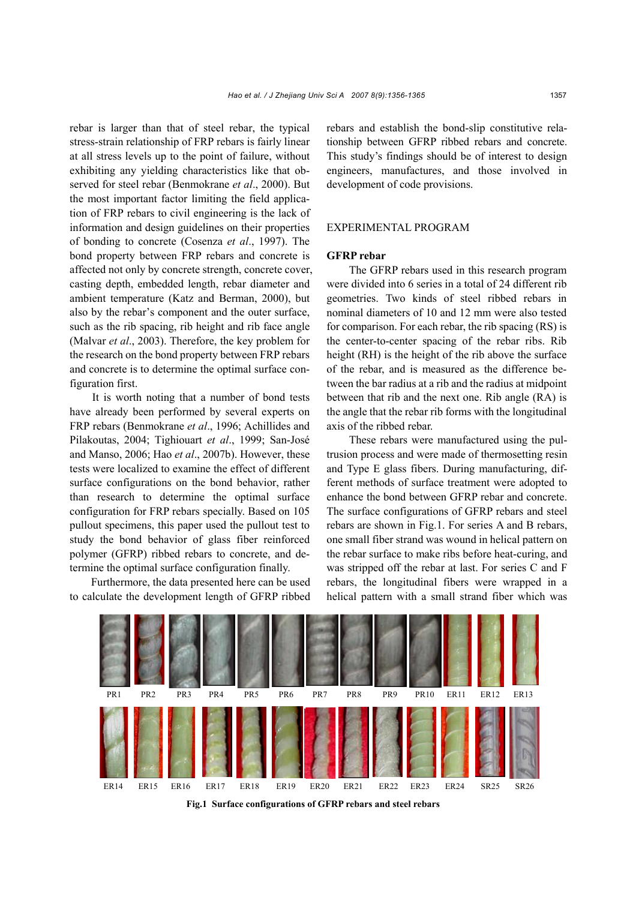rebar is larger than that of steel rebar, the typical stress-strain relationship of FRP rebars is fairly linear at all stress levels up to the point of failure, without exhibiting any yielding characteristics like that observed for steel rebar (Benmokrane *et al*., 2000). But the most important factor limiting the field application of FRP rebars to civil engineering is the lack of information and design guidelines on their properties of bonding to concrete (Cosenza *et al*., 1997). The bond property between FRP rebars and concrete is affected not only by concrete strength, concrete cover, casting depth, embedded length, rebar diameter and ambient temperature (Katz and Berman, 2000), but also by the rebar's component and the outer surface, such as the rib spacing, rib height and rib face angle (Malvar *et al*., 2003). Therefore, the key problem for the research on the bond property between FRP rebars and concrete is to determine the optimal surface configuration first.

It is worth noting that a number of bond tests have already been performed by several experts on FRP rebars (Benmokrane *et al*., 1996; Achillides and Pilakoutas, 2004; Tighiouart *et al*., 1999; San-José and Manso, 2006; Hao *et al*., 2007b). However, these tests were localized to examine the effect of different surface configurations on the bond behavior, rather than research to determine the optimal surface configuration for FRP rebars specially. Based on 105 pullout specimens, this paper used the pullout test to study the bond behavior of glass fiber reinforced polymer (GFRP) ribbed rebars to concrete, and determine the optimal surface configuration finally.

Furthermore, the data presented here can be used to calculate the development length of GFRP ribbed rebars and establish the bond-slip constitutive relationship between GFRP ribbed rebars and concrete. This study's findings should be of interest to design engineers, manufactures, and those involved in development of code provisions.

# EXPERIMENTAL PROGRAM

## **GFRP rebar**

The GFRP rebars used in this research program were divided into 6 series in a total of 24 different rib geometries. Two kinds of steel ribbed rebars in nominal diameters of 10 and 12 mm were also tested for comparison. For each rebar, the rib spacing (RS) is the center-to-center spacing of the rebar ribs. Rib height (RH) is the height of the rib above the surface of the rebar, and is measured as the difference between the bar radius at a rib and the radius at midpoint between that rib and the next one. Rib angle (RA) is the angle that the rebar rib forms with the longitudinal axis of the ribbed rebar.

These rebars were manufactured using the pultrusion process and were made of thermosetting resin and Type E glass fibers. During manufacturing, different methods of surface treatment were adopted to enhance the bond between GFRP rebar and concrete. The surface configurations of GFRP rebars and steel rebars are shown in Fig.1. For series A and B rebars, one small fiber strand was wound in helical pattern on the rebar surface to make ribs before heat-curing, and was stripped off the rebar at last. For series C and F rebars, the longitudinal fibers were wrapped in a helical pattern with a small strand fiber which was



**Fig.1 Surface configurations of GFRP rebars and steel rebars**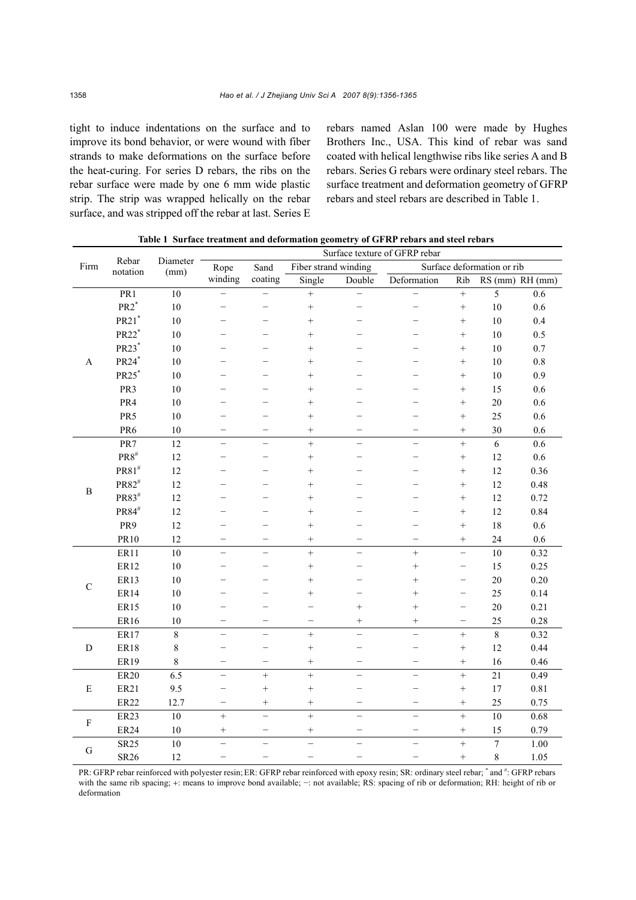tight to induce indentations on the surface and to improve its bond behavior, or were wound with fiber strands to make deformations on the surface before the heat-curing. For series D rebars, the ribs on the rebar surface were made by one 6 mm wide plastic strip. The strip was wrapped helically on the rebar surface, and was stripped off the rebar at last. Series E rebars named Aslan 100 were made by Hughes Brothers Inc., USA. This kind of rebar was sand coated with helical lengthwise ribs like series A and B rebars. Series G rebars were ordinary steel rebars. The surface treatment and deformation geometry of GFRP rebars and steel rebars are described in Table 1.

| Firm         | Rebar<br>notation         | Diameter<br>(mm) | Surface texture of GFRP rebar |                          |                          |                          |                            |                          |                  |                 |  |
|--------------|---------------------------|------------------|-------------------------------|--------------------------|--------------------------|--------------------------|----------------------------|--------------------------|------------------|-----------------|--|
|              |                           |                  | Rope<br>winding               | Sand<br>coating          | Fiber strand winding     |                          | Surface deformation or rib |                          |                  |                 |  |
|              |                           |                  |                               |                          | Single                   | Double                   | Deformation                | Rib                      |                  | RS (mm) RH (mm) |  |
| A            | PR1                       | 10               | $\overline{\phantom{0}}$      | $\equiv$                 | $^{+}$                   | $\equiv$                 | $\overline{\phantom{0}}$   | $\qquad \qquad +$        | 5                | 0.6             |  |
|              | $PR2^*$                   | 10               |                               |                          | $^{+}$                   |                          |                            |                          | $10\,$           | 0.6             |  |
|              | $PR21$ <sup>*</sup>       | 10               |                               |                          | $^{+}$                   |                          |                            |                          | $10\,$           | 0.4             |  |
|              | PR22*                     | 10               |                               |                          | $^{+}$                   |                          |                            |                          | $10\,$           | 0.5             |  |
|              | PR23*                     | 10               |                               |                          | $^{+}$                   |                          |                            |                          | $10\,$           | $0.7\,$         |  |
|              | PR24*                     | 10               |                               |                          | $^{+}$                   |                          |                            | $^{+}$                   | $10\,$           | $0.8\,$         |  |
|              | PR25*                     | 10               |                               |                          | $^{+}$                   |                          |                            | $^{+}$                   | 10               | 0.9             |  |
|              | PR3                       | 10               |                               |                          | $^{+}$                   |                          |                            | $^{+}$                   | 15               | 0.6             |  |
|              | PR4                       | 10               |                               |                          | $^{+}$                   |                          |                            | $^{+}$                   | 20               | 0.6             |  |
|              | PR5                       | 10               |                               |                          | $^{+}$                   |                          |                            | $^{+}$                   | 25               | $0.6\,$         |  |
|              | PR6                       | 10               |                               | $\overline{\phantom{0}}$ | $^{+}$                   | -                        | -                          | $+$                      | 30               | 0.6             |  |
|              | PR7                       | 12               |                               |                          | $\ddot{}$                |                          |                            | $^{+}$                   | 6                | 0.6             |  |
| $\, {\bf B}$ | $\text{PR8}^{\#}$         | 12               |                               |                          | $^{+}$                   |                          |                            | $+$                      | 12               | 0.6             |  |
|              | $PR81^{\#}$               | 12               |                               |                          | $^{+}$                   |                          |                            | $+$                      | 12               | 0.36            |  |
|              | PR82#                     | 12               |                               |                          | $^{+}$                   |                          |                            | $+$                      | 12               | 0.48            |  |
|              | PR83#                     | 12               |                               |                          | $^{+}$                   |                          |                            | $+$                      | 12               | 0.72            |  |
|              | $\text{PR}84^{\text{\#}}$ | 12               |                               |                          | $^{+}$                   |                          |                            |                          | 12               | 0.84            |  |
|              | PR9                       | 12               |                               |                          | $^{+}$                   |                          |                            | $^{+}$                   | 18               | 0.6             |  |
|              | PR10                      | 12               |                               | $\overline{\phantom{0}}$ | $^{+}$                   |                          | $\overline{\phantom{0}}$   | $^{+}$                   | 24               | 0.6             |  |
| $\mathbf C$  | ER11                      | 10               |                               |                          | $\ddot{}$                |                          | $\ddot{}$                  | $\overline{\phantom{0}}$ | 10               | 0.32            |  |
|              | ER12                      | 10               |                               |                          | $^{+}$                   |                          | $^{+}$                     | $\overline{\phantom{0}}$ | 15               | 0.25            |  |
|              | ER13                      | 10               |                               |                          | $^{+}$                   |                          | $^{+}$                     | $\overline{\phantom{0}}$ | $20\,$           | 0.20            |  |
|              | <b>ER14</b>               | 10               |                               |                          | $^{+}$                   |                          | $^{+}$                     | $\overline{\phantom{0}}$ | 25               | 0.14            |  |
|              | ER15                      | 10               |                               |                          |                          | $+$                      | $^{+}$                     | $\overline{\phantom{0}}$ | 20               | 0.21            |  |
|              | ER16                      | 10               |                               |                          |                          | $\! + \!\!\!\!$          | $^{+}$                     | $\overline{\phantom{0}}$ | 25               | 0.28            |  |
| $\mathbf D$  | ER17                      | $\,8\,$          | $\equiv$                      | $\overline{\phantom{0}}$ | $+$                      | $\equiv$                 | $\overline{\phantom{0}}$   | $\qquad \qquad +$        | $\,8\,$          | 0.32            |  |
|              | <b>ER18</b>               | $\,8\,$          |                               | -                        | $^{+}$                   |                          | -                          | $^{+}$                   | 12               | 0.44            |  |
|              | ER19                      | $\,8\,$          | -                             | -                        |                          | $\overline{\phantom{0}}$ |                            | $\! + \!$                | 16               | 0.46            |  |
| ${\bf E}$    | <b>ER20</b>               | 6.5              | $\equiv$                      | $^{+}$                   | $^{+}$                   | $\equiv$                 | $\equiv$                   | $^{+}$                   | 21               | 0.49            |  |
|              | ER21                      | 9.5              |                               | $\! + \!\!\!\!$          | $^{+}$                   |                          |                            |                          | 17               | $0.81\,$        |  |
|              | <b>ER22</b>               | 12.7             | —                             |                          | $^{+}$                   |                          | $\qquad \qquad -$          |                          | 25               | 0.75            |  |
| $\mathbf F$  | <b>ER23</b>               | 10               | $+$                           | $\rightarrow$            | $\ddot{}$                | $\overline{\phantom{m}}$ | $\overline{\phantom{m}}$   | $^{+}$                   | 10               | 0.68            |  |
|              | <b>ER24</b>               | 10               | $^{+}$                        | $\overline{\phantom{0}}$ | $^{+}$                   |                          | $\overline{\phantom{0}}$   |                          | 15               | 0.79            |  |
| $\mathbf G$  | <b>SR25</b>               | 10               | $\overline{\phantom{0}}$      | $\overline{\phantom{0}}$ | $\overline{\phantom{0}}$ | $\overline{\phantom{0}}$ | $\overline{\phantom{0}}$   | $\qquad \qquad +$        | $\boldsymbol{7}$ | 1.00            |  |
|              | SR26                      | 12               |                               |                          |                          |                          |                            | $^{+}$                   | 8                | 1.05            |  |

**Table 1 Surface treatment and deformation geometry of GFRP rebars and steel rebars**

PR: GFRP rebar reinforced with polyester resin; ER: GFRP rebar reinforced with epoxy resin; SR: ordinary steel rebar; \* and #: GFRP rebars with the same rib spacing; +: means to improve bond available; -: not available; RS: spacing of rib or deformation; RH: height of rib or deformation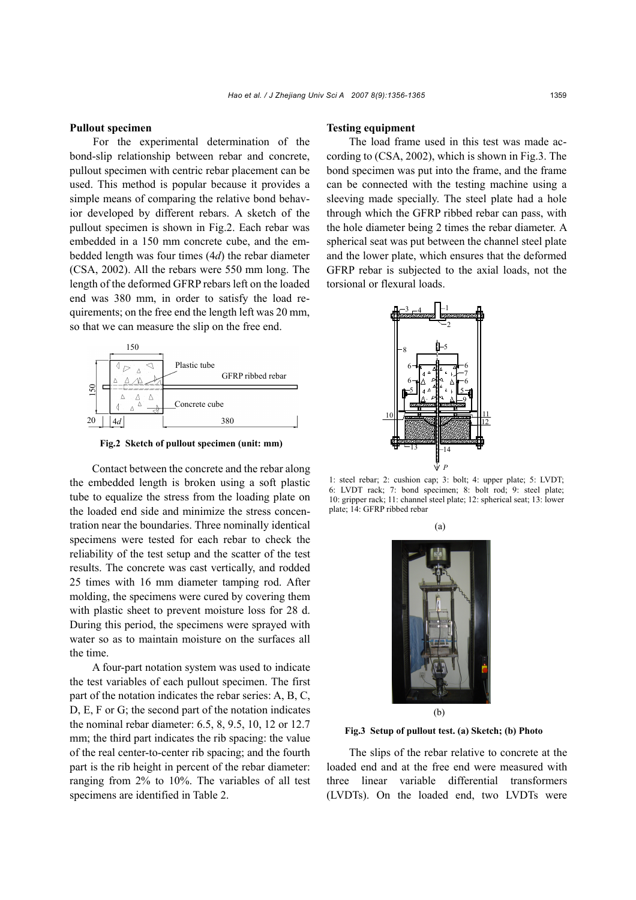### **Pullout specimen**

For the experimental determination of the bond-slip relationship between rebar and concrete, pullout specimen with centric rebar placement can be used. This method is popular because it provides a simple means of comparing the relative bond behavior developed by different rebars. A sketch of the pullout specimen is shown in Fig.2. Each rebar was embedded in a 150 mm concrete cube, and the embedded length was four times (4*d*) the rebar diameter (CSA, 2002). All the rebars were 550 mm long. The length of the deformed GFRP rebars left on the loaded end was 380 mm, in order to satisfy the load requirements; on the free end the length left was 20 mm, so that we can measure the slip on the free end.



**Fig.2 Sketch of pullout specimen (unit: mm)**

Contact between the concrete and the rebar along the embedded length is broken using a soft plastic tube to equalize the stress from the loading plate on the loaded end side and minimize the stress concentration near the boundaries. Three nominally identical specimens were tested for each rebar to check the reliability of the test setup and the scatter of the test results. The concrete was cast vertically, and rodded 25 times with 16 mm diameter tamping rod. After molding, the specimens were cured by covering them with plastic sheet to prevent moisture loss for 28 d. During this period, the specimens were sprayed with water so as to maintain moisture on the surfaces all the time.

A four-part notation system was used to indicate the test variables of each pullout specimen. The first part of the notation indicates the rebar series: A, B, C, D, E, F or G; the second part of the notation indicates the nominal rebar diameter: 6.5, 8, 9.5, 10, 12 or 12.7 mm; the third part indicates the rib spacing: the value of the real center-to-center rib spacing; and the fourth part is the rib height in percent of the rebar diameter: ranging from 2% to 10%. The variables of all test specimens are identified in Table 2.

#### **Testing equipment**

The load frame used in this test was made according to (CSA, 2002), which is shown in Fig.3. The bond specimen was put into the frame, and the frame can be connected with the testing machine using a sleeving made specially. The steel plate had a hole through which the GFRP ribbed rebar can pass, with the hole diameter being 2 times the rebar diameter. A spherical seat was put between the channel steel plate and the lower plate, which ensures that the deformed GFRP rebar is subjected to the axial loads, not the torsional or flexural loads.



1: steel rebar; 2: cushion cap; 3: bolt; 4: upper plate; 5: LVDT; 6: LVDT rack; 7: bond specimen; 8: bolt rod; 9: steel plate; 10: gripper rack; 11: channel steel plate; 12: spherical seat; 13: lower plate; 14: GFRP ribbed rebar



**Fig.3 Setup of pullout test. (a) Sketch; (b) Photo**

The slips of the rebar relative to concrete at the loaded end and at the free end were measured with three linear variable differential transformers (LVDTs). On the loaded end, two LVDTs were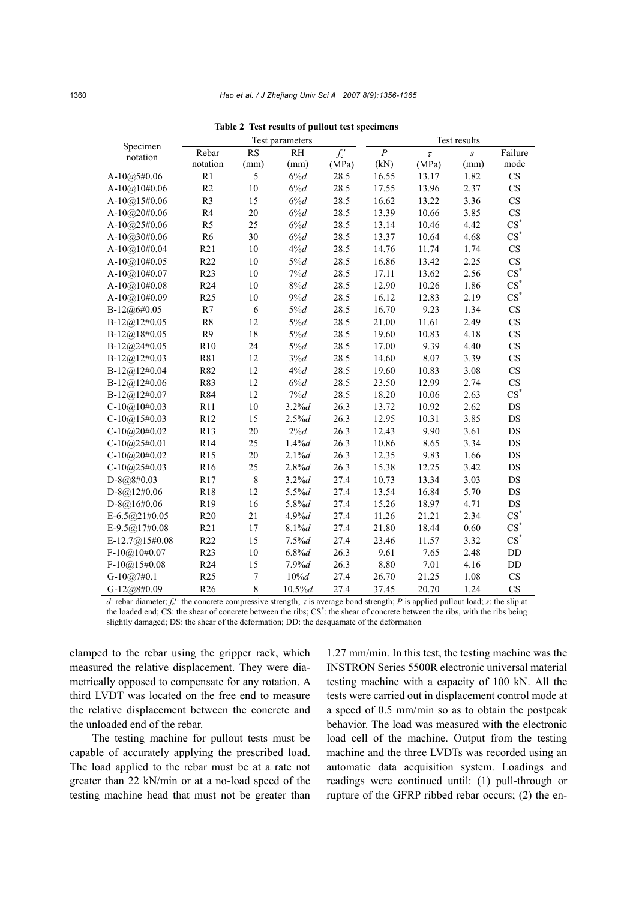| Specimen          |                 |                | Test parameters | Test results |                  |        |                  |                        |
|-------------------|-----------------|----------------|-----------------|--------------|------------------|--------|------------------|------------------------|
| notation          | Rebar           | <b>RS</b>      | RH              | $f_{c}$      | $\boldsymbol{P}$ | $\tau$ | $\boldsymbol{S}$ | Failure                |
|                   | notation        | (mm)           | (mm)            | (MPa)        | (kN)             | (MPa)  | (mm)             | mode                   |
| A-10 $@5#0.06$    | R1              | $\overline{5}$ | $6\%d$          | 28.5         | 16.55            | 13.17  | 1.82             | <b>CS</b>              |
| $A-10@10#0.06$    | R2              | $10\,$         | $6\%d$          | 28.5         | 17.55            | 13.96  | 2.37             | CS                     |
| A-10 $@15#0.06$   | R <sub>3</sub>  | 15             | 6%d             | 28.5         | 16.62            | 13.22  | 3.36             | $\mathbf{C}\mathbf{S}$ |
| A-10@20#0.06      | R <sub>4</sub>  | 20             | $6\%d$          | 28.5         | 13.39            | 10.66  | 3.85             | <b>CS</b>              |
| A-10 $@25#0.06$   | R <sub>5</sub>  | 25             | $6\%d$          | 28.5         | 13.14            | 10.46  | 4.42             | $\text{CS}^*$          |
| A-10 $@30#0.06$   | R <sub>6</sub>  | 30             | $6\%d$          | 28.5         | 13.37            | 10.64  | 4.68             | $\text{CS}^*$          |
| A-10 $@10#0.04$   | R21             | $10\,$         | $4\%d$          | 28.5         | 14.76            | 11.74  | 1.74             | CS                     |
| $A-10(a)10\#0.05$ | R22             | 10             | 5%d             | 28.5         | 16.86            | 13.42  | 2.25             | <b>CS</b>              |
| $A-10(a)10\#0.07$ | R23             | 10             | 7%d             | 28.5         | 17.11            | 13.62  | 2.56             | $\text{CS}^*$          |
| A-10 $@10#0.08$   | R <sub>24</sub> | 10             | 8%d             | 28.5         | 12.90            | 10.26  | 1.86             | $\text{CS}^*$          |
| A-10 $@10#0.09$   | R <sub>25</sub> | 10             | 9%d             | 28.5         | 16.12            | 12.83  | 2.19             | $CS^*$                 |
| $B-12@6#0.05$     | R7              | 6              | 5%d             | 28.5         | 16.70            | 9.23   | 1.34             | CS                     |
| $B-12(a)12\#0.05$ | R <sub>8</sub>  | 12             | 5%d             | 28.5         | 21.00            | 11.61  | 2.49             | <b>CS</b>              |
| B-12@18#0.05      | R <sub>9</sub>  | 18             | 5%d             | 28.5         | 19.60            | 10.83  | 4.18             | CS                     |
| $B-12@24\#0.05$   | R10             | 24             | 5%d             | 28.5         | 17.00            | 9.39   | 4.40             | <b>CS</b>              |
| B-12@12#0.03      | R81             | 12             | 3%d             | 28.5         | 14.60            | 8.07   | 3.39             | <b>CS</b>              |
| $B-12(a)12\#0.04$ | R82             | 12             | 4%d             | 28.5         | 19.60            | 10.83  | 3.08             | CS                     |
| B-12@12#0.06      | R83             | 12             | $6\%d$          | 28.5         | 23.50            | 12.99  | 2.74             | CS                     |
| $B-12@12\#0.07$   | R84             | 12             | 7%d             | 28.5         | 18.20            | 10.06  | 2.63             | $CS^*$                 |
| $C-10(a)10\#0.03$ | R11             | $10\,$         | 3.2%            | 26.3         | 13.72            | 10.92  | 2.62             | $DS$                   |
| $C-10(a)15\#0.03$ | R12             | 15             | 2.5%            | 26.3         | 12.95            | 10.31  | 3.85             | $DS$                   |
| $C-10@20#0.02$    | R13             | 20             | 2%d             | 26.3         | 12.43            | 9.90   | 3.61             | DS                     |
| $C-10@25#0.01$    | R14             | 25             | 1.4%            | 26.3         | 10.86            | 8.65   | 3.34             | DS                     |
| $C-10(a)20\#0.02$ | R <sub>15</sub> | 20             | $2.1\%$ d       | 26.3         | 12.35            | 9.83   | 1.66             | $DS$                   |
| $C-10@25\#0.03$   | R16             | 25             | 2.8%            | 26.3         | 15.38            | 12.25  | 3.42             | DS                     |
| $D-8@8\#0.03$     | R17             | $\,$ $\,$      | 3.2%            | 27.4         | 10.73            | 13.34  | 3.03             | DS                     |
| $D-8@12\#0.06$    | R18             | 12             | 5.5%d           | 27.4         | 13.54            | 16.84  | 5.70             | DS                     |
| $D-8(a)16\#0.06$  | R19             | 16             | 5.8%d           | 27.4         | 15.26            | 18.97  | 4.71             | DS                     |
| E-6.5 $@21#0.05$  | R <sub>20</sub> | 21             | $4.9%$ d        | 27.4         | 11.26            | 21.21  | 2.34             | $CS^*$                 |
| E-9.5 $@17#0.08$  | R21             | 17             | 8.1%            | 27.4         | 21.80            | 18.44  | 0.60             | $CS^*$                 |
| E-12.7@15#0.08    | R22             | 15             | 7.5%            | 27.4         | 23.46            | 11.57  | 3.32             | $CS^*$                 |
| $F-10@10#0.07$    | R23             | $10\,$         | $6.8%$ d        | 26.3         | 9.61             | 7.65   | 2.48             | $\rm DD$               |
| $F-10@$ 15#0.08   | R <sub>24</sub> | 15             | $7.9%$ d        | 26.3         | 8.80             | 7.01   | 4.16             | $\rm DD$               |
| $G-10@7#0.1$      | R <sub>25</sub> | $\overline{7}$ | $10\%$ d        | 27.4         | 26.70            | 21.25  | 1.08             | CS                     |
| G-12 $@8#0.09$    | R <sub>26</sub> | 8              | 10.5%           | 27.4         | 37.45            | 20.70  | 1.24             | CS                     |

**Table 2 Test results of pullout test specimens** 

*d*: rebar diameter; *f*c′: the concrete compressive strength; τ is average bond strength; *P* is applied pullout load; *s*: the slip at the loaded end; CS: the shear of concrete between the ribs; CS<sup>\*</sup>: the shear of concrete between the ribs, with the ribs being slightly damaged; DS: the shear of the deformation; DD: the desquamate of the deformation

clamped to the rebar using the gripper rack, which measured the relative displacement. They were diametrically opposed to compensate for any rotation. A third LVDT was located on the free end to measure the relative displacement between the concrete and the unloaded end of the rebar.

The testing machine for pullout tests must be capable of accurately applying the prescribed load. The load applied to the rebar must be at a rate not greater than 22 kN/min or at a no-load speed of the testing machine head that must not be greater than 1.27 mm/min. In this test, the testing machine was the INSTRON Series 5500R electronic universal material testing machine with a capacity of 100 kN. All the tests were carried out in displacement control mode at a speed of 0.5 mm/min so as to obtain the postpeak behavior. The load was measured with the electronic load cell of the machine. Output from the testing machine and the three LVDTs was recorded using an automatic data acquisition system. Loadings and readings were continued until: (1) pull-through or rupture of the GFRP ribbed rebar occurs; (2) the en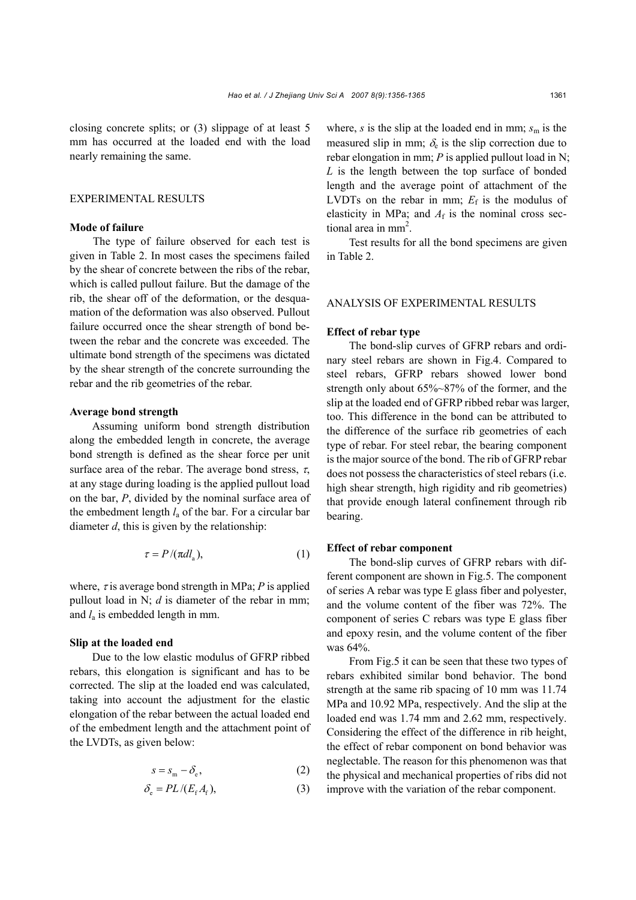closing concrete splits; or (3) slippage of at least 5 mm has occurred at the loaded end with the load nearly remaining the same.

# EXPERIMENTAL RESULTS

## **Mode of failure**

The type of failure observed for each test is given in Table 2. In most cases the specimens failed by the shear of concrete between the ribs of the rebar, which is called pullout failure. But the damage of the rib, the shear off of the deformation, or the desquamation of the deformation was also observed. Pullout failure occurred once the shear strength of bond between the rebar and the concrete was exceeded. The ultimate bond strength of the specimens was dictated by the shear strength of the concrete surrounding the rebar and the rib geometries of the rebar.

#### **Average bond strength**

Assuming uniform bond strength distribution along the embedded length in concrete, the average bond strength is defined as the shear force per unit surface area of the rebar. The average bond stress,  $\tau$ , at any stage during loading is the applied pullout load on the bar, *P*, divided by the nominal surface area of the embedment length *l*a of the bar. For a circular bar diameter *d*, this is given by the relationship:

$$
\tau = P / (\pi d l_{\rm a}),\tag{1}
$$

where,  $\tau$  is average bond strength in MPa; *P* is applied pullout load in N; *d* is diameter of the rebar in mm; and *l*a is embedded length in mm.

# **Slip at the loaded end**

Due to the low elastic modulus of GFRP ribbed rebars, this elongation is significant and has to be corrected. The slip at the loaded end was calculated, taking into account the adjustment for the elastic elongation of the rebar between the actual loaded end of the embedment length and the attachment point of the LVDTs, as given below:

$$
s = s_{\rm m} - \delta_{\rm e},\tag{2}
$$

$$
\delta_{\rm e} = PL / (E_{\rm f} A_{\rm f}), \tag{3}
$$

where,  $s$  is the slip at the loaded end in mm;  $s<sub>m</sub>$  is the measured slip in mm;  $\delta_e$  is the slip correction due to rebar elongation in mm; *P* is applied pullout load in N; *L* is the length between the top surface of bonded length and the average point of attachment of the LVDTs on the rebar in mm;  $E_f$  is the modulus of elasticity in MPa; and  $A_f$  is the nominal cross sectional area in mm<sup>2</sup>.

Test results for all the bond specimens are given in Table 2.

## ANALYSIS OF EXPERIMENTAL RESULTS

#### **Effect of rebar type**

The bond-slip curves of GFRP rebars and ordinary steel rebars are shown in Fig.4. Compared to steel rebars, GFRP rebars showed lower bond strength only about 65%~87% of the former, and the slip at the loaded end of GFRP ribbed rebar was larger, too. This difference in the bond can be attributed to the difference of the surface rib geometries of each type of rebar. For steel rebar, the bearing component is the major source of the bond. The rib of GFRP rebar does not possess the characteristics of steel rebars (i.e. high shear strength, high rigidity and rib geometries) that provide enough lateral confinement through rib bearing.

#### **Effect of rebar component**

The bond-slip curves of GFRP rebars with different component are shown in Fig.5. The component of series A rebar was type E glass fiber and polyester, and the volume content of the fiber was 72%. The component of series C rebars was type E glass fiber and epoxy resin, and the volume content of the fiber was 64%.

From Fig.5 it can be seen that these two types of rebars exhibited similar bond behavior. The bond strength at the same rib spacing of 10 mm was 11.74 MPa and 10.92 MPa, respectively. And the slip at the loaded end was 1.74 mm and 2.62 mm, respectively. Considering the effect of the difference in rib height, the effect of rebar component on bond behavior was neglectable. The reason for this phenomenon was that the physical and mechanical properties of ribs did not improve with the variation of the rebar component.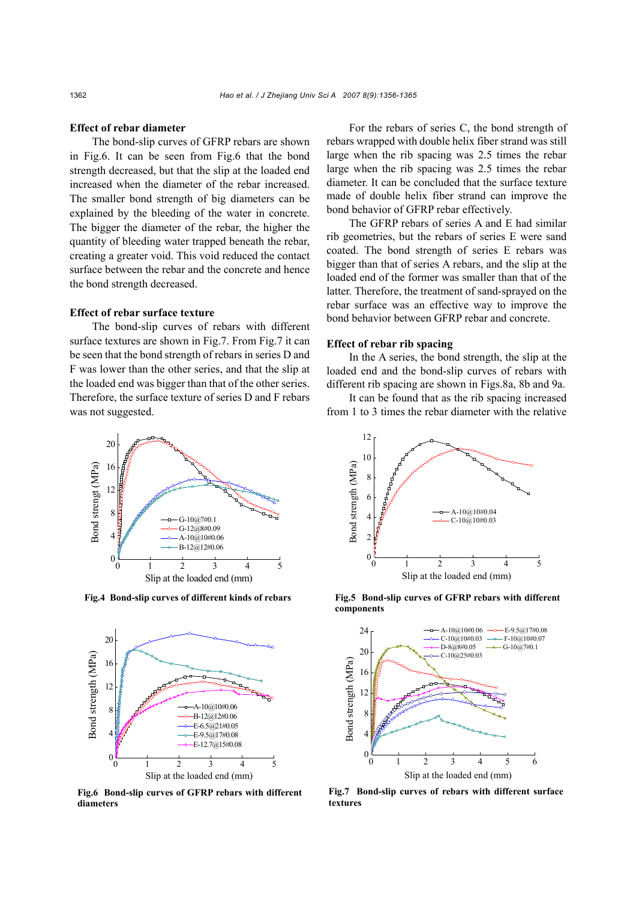## **Effect of rebar diameter**

The bond-slip curves of GFRP rebars are shown in Fig.6. It can be seen from Fig.6 that the bond strength decreased, but that the slip at the loaded end increased when the diameter of the rebar increased. The smaller bond strength of big diameters can be explained by the bleeding of the water in concrete. The bigger the diameter of the rebar, the higher the quantity of bleeding water trapped beneath the rebar, creating a greater void. This void reduced the contact surface between the rebar and the concrete and hence the bond strength decreased.

## **Effect of rebar surface texture**

The bond-slip curves of rebars with different surface textures are shown in Fig.7. From Fig.7 it can be seen that the bond strength of rebars in series D and F was lower than the other series, and that the slip at the loaded end was bigger than that of the other series. Therefore, the surface texture of series D and F rebars was not suggested.

For the rebars of series C, the bond strength of rebars wrapped with double helix fiber strand was still large when the rib spacing was 2.5 times the rebar large when the rib spacing was 2.5 times the rebar diameter. It can be concluded that the surface texture made of double helix fiber strand can improve the bond behavior of GFRP rebar effectively.

The GFRP rebars of series A and E had similar rib geometries, but the rebars of series E were sand coated. The bond strength of series E rebars was bigger than that of series A rebars, and the slip at the loaded end of the former was smaller than that of the latter. Therefore, the treatment of sand-sprayed on the rebar surface was an effective way to improve the bond behavior between GFRP rebar and concrete.

## **Effect of rebar rib spacing**

In the A series, the bond strength, the slip at the loaded end and the bond-slip curves of rebars with different rib spacing are shown in Figs.8a, 8b and 9a.

It can be found that as the rib spacing increased from 1 to 3 times the rebar diameter with the relative



**Fig.4 Bond-slip curves of different kinds of rebars**



**Fig.6 Bond-slip curves of GFRP rebars with different diameters**



**Fig.5 Bond-slip curves of GFRP rebars with different components** 



**Fig.7 Bond-slip curves of rebars with different surface textures**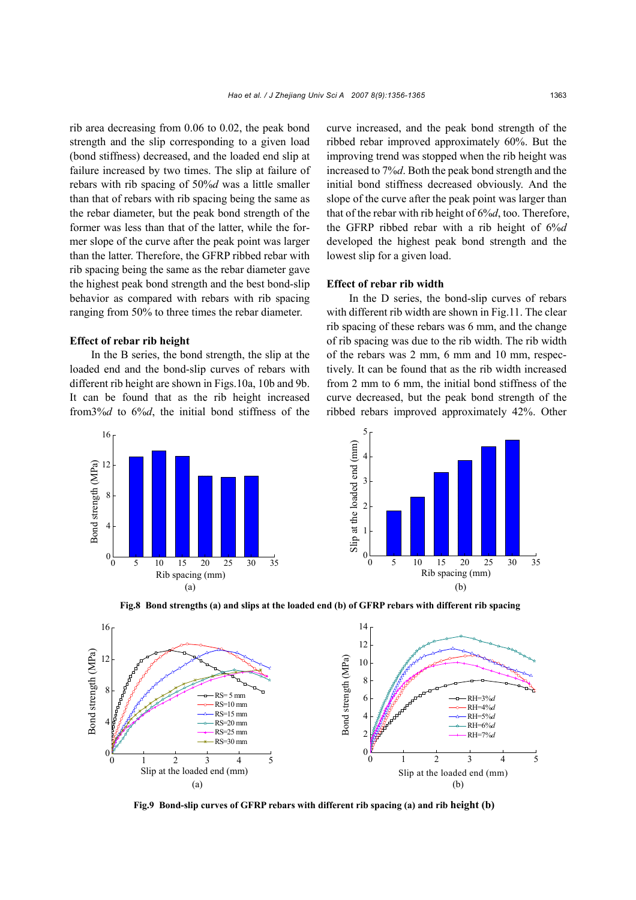rib area decreasing from 0.06 to 0.02, the peak bond strength and the slip corresponding to a given load (bond stiffness) decreased, and the loaded end slip at failure increased by two times. The slip at failure of rebars with rib spacing of 50%*d* was a little smaller than that of rebars with rib spacing being the same as the rebar diameter, but the peak bond strength of the former was less than that of the latter, while the former slope of the curve after the peak point was larger than the latter. Therefore, the GFRP ribbed rebar with rib spacing being the same as the rebar diameter gave the highest peak bond strength and the best bond-slip behavior as compared with rebars with rib spacing ranging from 50% to three times the rebar diameter.

#### **Effect of rebar rib height**

In the B series, the bond strength, the slip at the loaded end and the bond-slip curves of rebars with different rib height are shown in Figs.10a, 10b and 9b. It can be found that as the rib height increased from3%*d* to 6%*d*, the initial bond stiffness of the curve increased, and the peak bond strength of the ribbed rebar improved approximately 60%. But the improving trend was stopped when the rib height was increased to 7%*d*. Both the peak bond strength and the initial bond stiffness decreased obviously. And the slope of the curve after the peak point was larger than that of the rebar with rib height of 6%*d*, too. Therefore, the GFRP ribbed rebar with a rib height of 6%*d* developed the highest peak bond strength and the lowest slip for a given load.

### **Effect of rebar rib width**

In the D series, the bond-slip curves of rebars with different rib width are shown in Fig.11. The clear rib spacing of these rebars was 6 mm, and the change of rib spacing was due to the rib width. The rib width of the rebars was 2 mm, 6 mm and 10 mm, respectively. It can be found that as the rib width increased from 2 mm to 6 mm, the initial bond stiffness of the curve decreased, but the peak bond strength of the ribbed rebars improved approximately 42%. Other



**Fig.8 Bond strengths (a) and slips at the loaded end (b) of GFRP rebars with different rib spacing**



**Fig.9 Bond-slip curves of GFRP rebars with different rib spacing (a) and rib height (b)**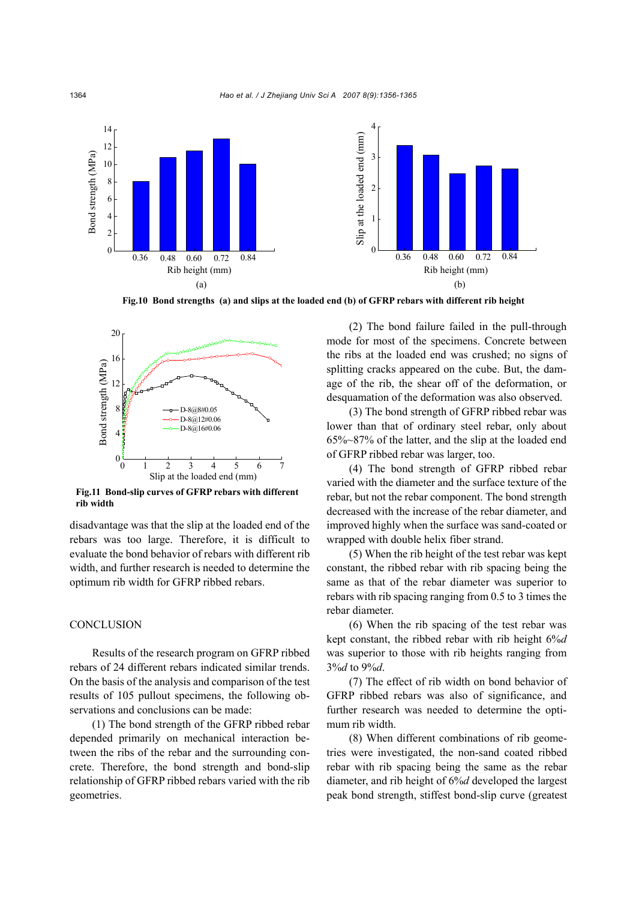

**Fig.10 Bond strengths (a) and slips at the loaded end (b) of GFRP rebars with different rib height**



**Fig.11 Bond-slip curves of GFRP rebars with different rib width** 

disadvantage was that the slip at the loaded end of the rebars was too large. Therefore, it is difficult to evaluate the bond behavior of rebars with different rib width, and further research is needed to determine the optimum rib width for GFRP ribbed rebars.

# **CONCLUSION**

Results of the research program on GFRP ribbed rebars of 24 different rebars indicated similar trends. On the basis of the analysis and comparison of the test results of 105 pullout specimens, the following observations and conclusions can be made:

(1) The bond strength of the GFRP ribbed rebar depended primarily on mechanical interaction between the ribs of the rebar and the surrounding concrete. Therefore, the bond strength and bond-slip relationship of GFRP ribbed rebars varied with the rib geometries.

(2) The bond failure failed in the pull-through mode for most of the specimens. Concrete between the ribs at the loaded end was crushed; no signs of splitting cracks appeared on the cube. But, the damage of the rib, the shear off of the deformation, or desquamation of the deformation was also observed.

(3) The bond strength of GFRP ribbed rebar was lower than that of ordinary steel rebar, only about 65%~87% of the latter, and the slip at the loaded end of GFRP ribbed rebar was larger, too.

(4) The bond strength of GFRP ribbed rebar varied with the diameter and the surface texture of the rebar, but not the rebar component. The bond strength decreased with the increase of the rebar diameter, and improved highly when the surface was sand-coated or wrapped with double helix fiber strand.

(5) When the rib height of the test rebar was kept constant, the ribbed rebar with rib spacing being the same as that of the rebar diameter was superior to rebars with rib spacing ranging from 0.5 to 3 times the rebar diameter.

(6) When the rib spacing of the test rebar was kept constant, the ribbed rebar with rib height 6%*d* was superior to those with rib heights ranging from 3%*d* to 9%*d*.

(7) The effect of rib width on bond behavior of GFRP ribbed rebars was also of significance, and further research was needed to determine the optimum rib width.

(8) When different combinations of rib geometries were investigated, the non-sand coated ribbed rebar with rib spacing being the same as the rebar diameter, and rib height of 6%*d* developed the largest peak bond strength, stiffest bond-slip curve (greatest